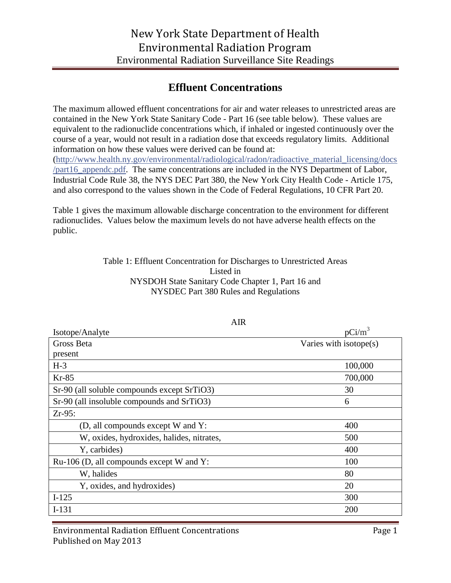## **Effluent Concentrations**

The maximum allowed effluent concentrations for air and water releases to unrestricted areas are contained in the New York State Sanitary Code - Part 16 (see table below). These values are equivalent to the radionuclide concentrations which, if inhaled or ingested continuously over the course of a year, would not result in a radiation dose that exceeds regulatory limits. Additional information on how these values were derived can be found at: [\(http://www.health.ny.gov/environmental/radiological/radon/radioactive\\_material\\_licensing/docs](http://www.health.ny.gov/environmental/radiological/radon/radioactive_material_licensing/docs/part16_appendc.pdf) [/part16\\_appendc.pdf.](http://www.health.ny.gov/environmental/radiological/radon/radioactive_material_licensing/docs/part16_appendc.pdf) The same concentrations are included in the NYS Department of Labor,

Industrial Code Rule 38, the NYS DEC Part 380, the New York City Health Code - Article 175, and also correspond to the values shown in the Code of Federal Regulations, 10 CFR Part 20.

Table 1 gives the maximum allowable discharge concentration to the environment for different radionuclides. Values below the maximum levels do not have adverse health effects on the public.

## Table 1: Effluent Concentration for Discharges to Unrestricted Areas Listed in NYSDOH State Sanitary Code Chapter 1, Part 16 and NYSDEC Part 380 Rules and Regulations

A<sub>I</sub>

| AIK                                         |                           |
|---------------------------------------------|---------------------------|
| Isotope/Analyte                             | $pCi/m^3$                 |
| Gross Beta                                  | Varies with isotope $(s)$ |
| present                                     |                           |
| $H-3$                                       | 100,000                   |
| $Kr-85$                                     | 700,000                   |
| Sr-90 (all soluble compounds except SrTiO3) | 30                        |
| Sr-90 (all insoluble compounds and SrTiO3)  | 6                         |
| $Zr-95$ :                                   |                           |
| (D, all compounds except W and Y:           | 400                       |
| W, oxides, hydroxides, halides, nitrates,   | 500                       |
| Y, carbides)                                | 400                       |
| Ru-106 (D, all compounds except W and Y:    | 100                       |
| W, halides                                  | 80                        |
| Y, oxides, and hydroxides)                  | 20                        |
| $I-125$                                     | 300                       |
| $I-131$                                     | 200                       |